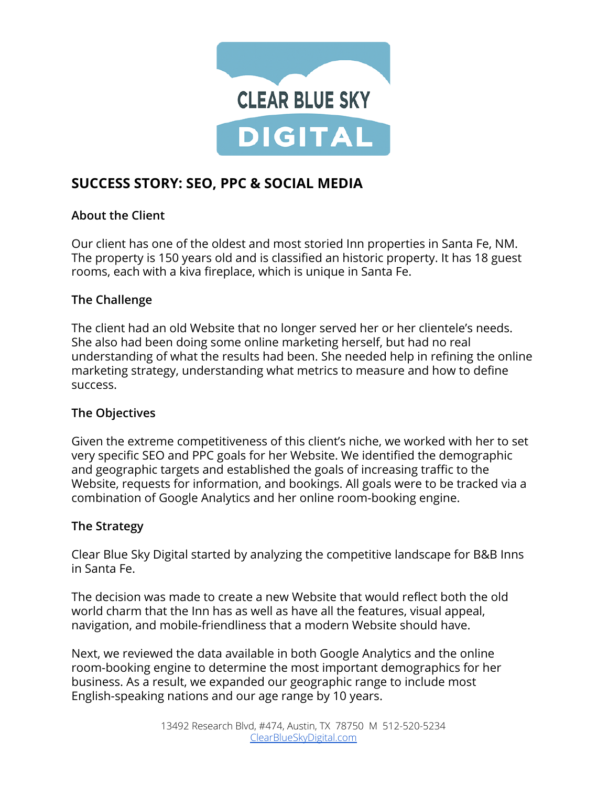

# **SUCCESS STORY: SEO, PPC & SOCIAL MEDIA**

## **About the Client**

Our client has one of the oldest and most storied Inn properties in Santa Fe, NM. The property is 150 years old and is classified an historic property. It has 18 guest rooms, each with a kiva fireplace, which is unique in Santa Fe.

## **The Challenge**

The client had an old Website that no longer served her or her clientele's needs. She also had been doing some online marketing herself, but had no real understanding of what the results had been. She needed help in refining the online marketing strategy, understanding what metrics to measure and how to define success.

#### **The Objectives**

Given the extreme competitiveness of this client's niche, we worked with her to set very specific SEO and PPC goals for her Website. We identified the demographic and geographic targets and established the goals of increasing traffic to the Website, requests for information, and bookings. All goals were to be tracked via a combination of Google Analytics and her online room-booking engine.

# **The Strategy**

Clear Blue Sky Digital started by analyzing the competitive landscape for B&B Inns in Santa Fe.

The decision was made to create a new Website that would reflect both the old world charm that the Inn has as well as have all the features, visual appeal, navigation, and mobile-friendliness that a modern Website should have.

Next, we reviewed the data available in both Google Analytics and the online room-booking engine to determine the most important demographics for her business. As a result, we expanded our geographic range to include most English-speaking nations and our age range by 10 years.